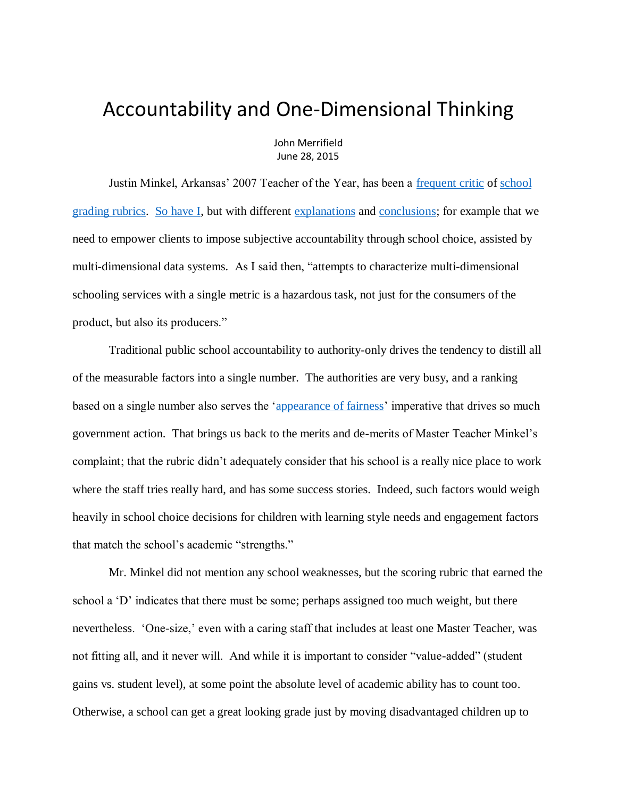## Accountability and One-Dimensional Thinking

John Merrifield June 28, 2015

Justin Minkel, Arkansas' 2007 Teacher of the Year, has been a [frequent](http://www.edweek.org/tm/articles/2014/12/30/the-promise-and-peril-of-turning-student.html) critic of [school](http://www.edweek.org/tm/articles/2015/04/21/giving-excellence-a-d-when-school-accountability-grades.html?cmp=ENL-EU-NEWS2-RM)  [grading rubrics.](http://www.edweek.org/tm/articles/2015/04/21/giving-excellence-a-d-when-school-accountability-grades.html?cmp=ENL-EU-NEWS2-RM) [So have I,](http://www.schoolsystemreformstudies.net/wp-content/uploads/2016/12/Problems-with-Grading-Schools.pdf) but with different [explanations](http://www.schoolsystemreformstudies.net/wp-content/uploads/2016/12/School-Grading-and-the-Bennett-case.pdf) and [conclusions;](http://www.schoolsystemreformstudies.net/wp-content/uploads/2017/02/Pisciotta-on-Accountability.pdf) for example that we need to empower clients to impose subjective accountability through school choice, assisted by multi-dimensional data systems. As I said then, "attempts to characterize multi-dimensional schooling services with a single metric is a hazardous task, not just for the consumers of the product, but also its producers."

Traditional public school accountability to authority-only drives the tendency to distill all of the measurable factors into a single number. The authorities are very busy, and a ranking based on a single number also serves the ['appearance of fairness'](http://www.tandfonline.com/doi/abs/10.1080/15582159.2013.818447?journalCode=wjsc20) imperative that drives so much government action. That brings us back to the merits and de-merits of Master Teacher Minkel's complaint; that the rubric didn't adequately consider that his school is a really nice place to work where the staff tries really hard, and has some success stories. Indeed, such factors would weigh heavily in school choice decisions for children with learning style needs and engagement factors that match the school's academic "strengths."

Mr. Minkel did not mention any school weaknesses, but the scoring rubric that earned the school a 'D' indicates that there must be some; perhaps assigned too much weight, but there nevertheless. 'One-size,' even with a caring staff that includes at least one Master Teacher, was not fitting all, and it never will. And while it is important to consider "value-added" (student gains vs. student level), at some point the absolute level of academic ability has to count too. Otherwise, a school can get a great looking grade just by moving disadvantaged children up to